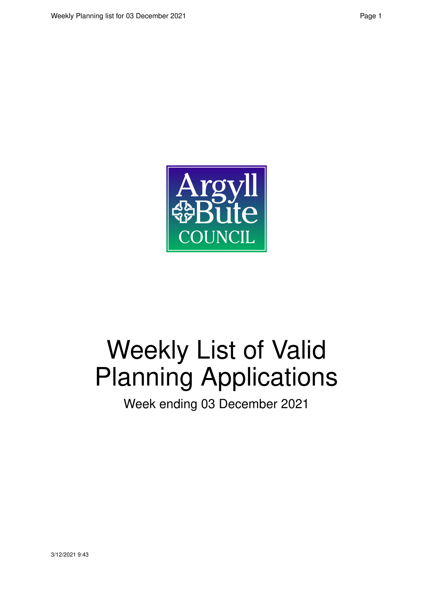

# Weekly List of Valid Planning Applications

Week ending 03 December 2021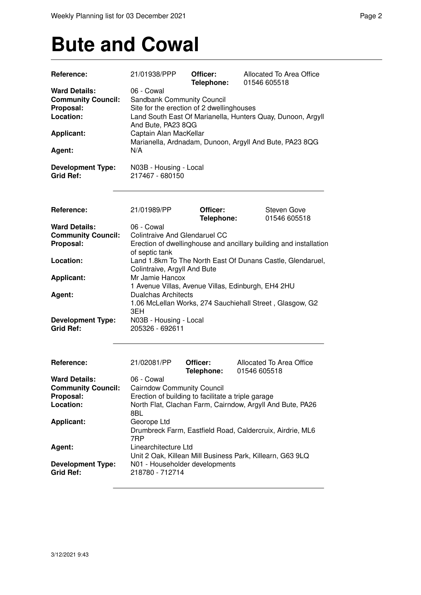#### **Bute and Cowal**

| Reference:                                           | 21/01938/PPP                                       | Officer:<br>Telephone: | Allocated To Area Office<br>01546 605518                          |
|------------------------------------------------------|----------------------------------------------------|------------------------|-------------------------------------------------------------------|
| <b>Ward Details:</b>                                 | 06 - Cowal                                         |                        |                                                                   |
| <b>Community Council:</b>                            | Sandbank Community Council                         |                        |                                                                   |
| Proposal:                                            | Site for the erection of 2 dwellinghouses          |                        |                                                                   |
| Location:                                            |                                                    |                        | Land South East Of Marianella, Hunters Quay, Dunoon, Argyll       |
|                                                      | And Bute, PA23 8QG                                 |                        |                                                                   |
| <b>Applicant:</b>                                    | Captain Alan MacKellar                             |                        |                                                                   |
|                                                      |                                                    |                        | Marianella, Ardnadam, Dunoon, Argyll And Bute, PA23 8QG           |
| Agent:                                               | N/A                                                |                        |                                                                   |
|                                                      |                                                    |                        |                                                                   |
| <b>Development Type:</b>                             | N03B - Housing - Local                             |                        |                                                                   |
| <b>Grid Ref:</b>                                     | 217467 - 680150                                    |                        |                                                                   |
|                                                      |                                                    |                        |                                                                   |
| Reference:                                           | 21/01989/PP                                        | Officer:               | Steven Gove                                                       |
|                                                      |                                                    | Telephone:             | 01546 605518                                                      |
| <b>Ward Details:</b>                                 | 06 - Cowal                                         |                        |                                                                   |
| <b>Community Council:</b>                            | <b>Colintraive And Glendaruel CC</b>               |                        |                                                                   |
| Proposal:                                            |                                                    |                        | Erection of dwellinghouse and ancillary building and installation |
|                                                      | of septic tank                                     |                        |                                                                   |
| Location:                                            |                                                    |                        | Land 1.8km To The North East Of Dunans Castle, Glendaruel,        |
|                                                      | Colintraive, Argyll And Bute                       |                        |                                                                   |
| <b>Applicant:</b>                                    | Mr Jamie Hancox                                    |                        |                                                                   |
|                                                      |                                                    |                        | 1 Avenue Villas, Avenue Villas, Edinburgh, EH4 2HU                |
| Agent:                                               | <b>Dualchas Architects</b>                         |                        |                                                                   |
|                                                      |                                                    |                        | 1.06 McLellan Works, 274 Sauchiehall Street, Glasgow, G2          |
|                                                      | 3EH                                                |                        |                                                                   |
| <b>Development Type:</b>                             | N03B - Housing - Local                             |                        |                                                                   |
| <b>Grid Ref:</b>                                     | 205326 - 692611                                    |                        |                                                                   |
|                                                      |                                                    |                        |                                                                   |
|                                                      |                                                    |                        |                                                                   |
| Reference:                                           | 21/02081/PP                                        | Officer:               | Allocated To Area Office                                          |
|                                                      |                                                    | Telephone:             | 01546 605518                                                      |
| <b>Ward Details:</b>                                 | 06 - Cowal                                         |                        |                                                                   |
| <b>Community Council:</b> Cairndow Community Council |                                                    |                        |                                                                   |
| Proposal:                                            | Erection of building to facilitate a triple garage |                        |                                                                   |
| Location:                                            | 8BL                                                |                        | North Flat, Clachan Farm, Cairndow, Argyll And Bute, PA26         |
| <b>Applicant:</b>                                    | Georope Ltd                                        |                        |                                                                   |
|                                                      |                                                    |                        | Drumbreck Farm, Eastfield Road, Caldercruix, Airdrie, ML6         |
|                                                      | 7RP                                                |                        |                                                                   |
| Agent:                                               | Linearchitecture Ltd                               |                        |                                                                   |
|                                                      |                                                    |                        | Unit 2 Oak, Killean Mill Business Park, Killearn, G63 9LQ         |
| <b>Development Type:</b>                             | N01 - Householder developments                     |                        |                                                                   |
| <b>Grid Ref:</b>                                     | 218780 - 712714                                    |                        |                                                                   |
|                                                      |                                                    |                        |                                                                   |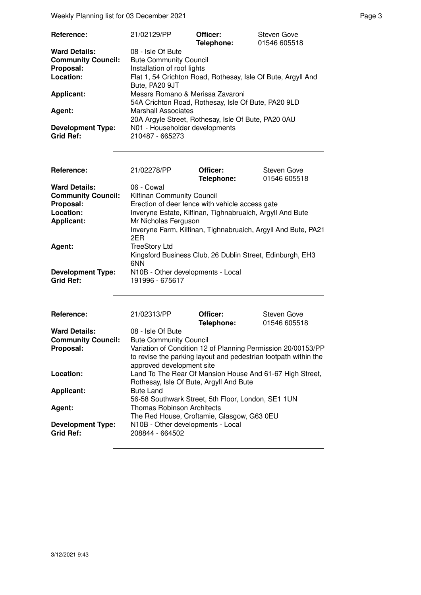Weekly Planning list for 03 December 2021 **Page 3** Page 3

| Reference:                | 21/02129/PP                                                  | Officer:   | <b>Steven Gove</b> |
|---------------------------|--------------------------------------------------------------|------------|--------------------|
|                           |                                                              | Telephone: | 01546 605518       |
| <b>Ward Details:</b>      | 08 - Isle Of Bute                                            |            |                    |
| <b>Community Council:</b> | <b>Bute Community Council</b>                                |            |                    |
| Proposal:                 | Installation of roof lights                                  |            |                    |
| Location:                 | Flat 1, 54 Crichton Road, Rothesay, Isle Of Bute, Argyll And |            |                    |
|                           | Bute, PA20 9JT                                               |            |                    |
| <b>Applicant:</b>         | Messrs Romano & Merissa Zavaroni                             |            |                    |
|                           | 54A Crichton Road, Rothesay, Isle Of Bute, PA20 9LD          |            |                    |
| Agent:                    | <b>Marshall Associates</b>                                   |            |                    |
|                           | 20A Argyle Street, Rothesay, Isle Of Bute, PA20 0AU          |            |                    |
| <b>Development Type:</b>  | N01 - Householder developments                               |            |                    |
| <b>Grid Ref:</b>          | 210487 - 665273                                              |            |                    |

| <b>Reference:</b>         | 21/02278/PP                                                          | Officer:   | Steven Gove  |
|---------------------------|----------------------------------------------------------------------|------------|--------------|
| <b>Ward Details:</b>      | 06 - Cowal                                                           | Telephone: | 01546 605518 |
|                           |                                                                      |            |              |
| <b>Community Council:</b> | Kilfinan Community Council                                           |            |              |
| Proposal:                 | Erection of deer fence with vehicle access gate                      |            |              |
| Location:                 | Inveryne Estate, Kilfinan, Tighnabruaich, Argyll And Bute            |            |              |
| <b>Applicant:</b>         | Mr Nicholas Ferguson                                                 |            |              |
|                           | Inveryne Farm, Kilfinan, Tighnabruaich, Argyll And Bute, PA21<br>2ER |            |              |
| Agent:                    | <b>TreeStory Ltd</b>                                                 |            |              |
|                           | Kingsford Business Club, 26 Dublin Street, Edinburgh, EH3<br>6NN     |            |              |
| <b>Development Type:</b>  | N10B - Other developments - Local                                    |            |              |
| <b>Grid Ref:</b>          | 191996 - 675617                                                      |            |              |
|                           |                                                                      |            |              |

| Reference:                | 21/02313/PP                                                                                         | Officer:   | Steven Gove  |
|---------------------------|-----------------------------------------------------------------------------------------------------|------------|--------------|
|                           |                                                                                                     | Telephone: | 01546 605518 |
| <b>Ward Details:</b>      | 08 - Isle Of Bute                                                                                   |            |              |
| <b>Community Council:</b> | <b>Bute Community Council</b>                                                                       |            |              |
| Proposal:                 | Variation of Condition 12 of Planning Permission 20/00153/PP                                        |            |              |
|                           | to revise the parking layout and pedestrian footpath within the<br>approved development site        |            |              |
| Location:                 | Land To The Rear Of Mansion House And 61-67 High Street,<br>Rothesay, Isle Of Bute, Argyll And Bute |            |              |
| <b>Applicant:</b>         | <b>Bute Land</b>                                                                                    |            |              |
|                           | 56-58 Southwark Street, 5th Floor, London, SE1 1UN                                                  |            |              |
| Agent:                    | <b>Thomas Robinson Architects</b>                                                                   |            |              |
|                           | The Red House, Croftamie, Glasgow, G63 0EU                                                          |            |              |
| <b>Development Type:</b>  | N10B - Other developments - Local                                                                   |            |              |
| <b>Grid Ref:</b>          | 208844 - 664502                                                                                     |            |              |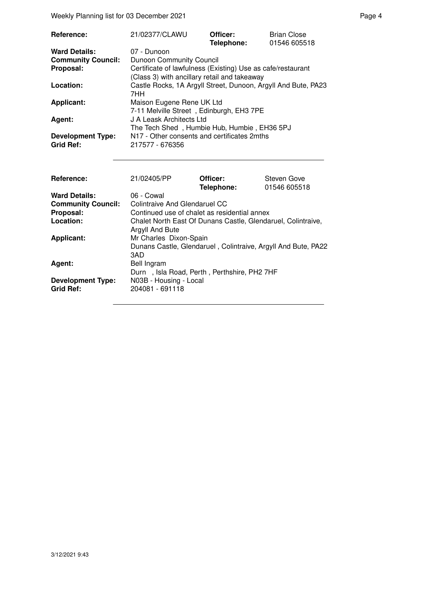Weekly Planning list for 03 December 2021 **Page 4** Page 4

| Reference:                | 21/02377/CLAWU                                                                                              | Officer:<br>Telephone: | <b>Brian Close</b><br>01546 605518 |
|---------------------------|-------------------------------------------------------------------------------------------------------------|------------------------|------------------------------------|
| <b>Ward Details:</b>      | 07 - Dunoon                                                                                                 |                        |                                    |
| <b>Community Council:</b> | <b>Dunoon Community Council</b>                                                                             |                        |                                    |
| Proposal:                 | Certificate of lawfulness (Existing) Use as cafe/restaurant<br>(Class 3) with ancillary retail and takeaway |                        |                                    |
| Location:                 | Castle Rocks, 1A Argyll Street, Dunoon, Argyll And Bute, PA23<br>7HH                                        |                        |                                    |
| <b>Applicant:</b>         | Maison Eugene Rene UK Ltd<br>7-11 Melville Street, Edinburgh, EH3 7PE                                       |                        |                                    |
| Agent:                    | J A Leask Architects Ltd<br>The Tech Shed, Humbie Hub, Humbie, EH36 5PJ                                     |                        |                                    |
| <b>Development Type:</b>  | N17 - Other consents and certificates 2mths                                                                 |                        |                                    |
| <b>Grid Ref:</b>          | 217577 - 676356                                                                                             |                        |                                    |
|                           |                                                                                                             |                        |                                    |
| Reference:                | 21/02405/PP                                                                                                 | Officer:<br>Telephone: | Steven Gove<br>01546 605518        |
| <b>Ward Details:</b>      | $06 -$ Cowal                                                                                                |                        |                                    |

| <b>Ward Details:</b>                         | 06 - Cowal                                                                                     |
|----------------------------------------------|------------------------------------------------------------------------------------------------|
| <b>Community Council:</b>                    | Colintraive And Glendaruel CC                                                                  |
| Proposal:                                    | Continued use of chalet as residential annex                                                   |
| Location:                                    | Chalet North East Of Dunans Castle, Glendaruel, Colintraive,<br>Argyll And Bute                |
| <b>Applicant:</b>                            | Mr Charles Dixon-Spain<br>Dunans Castle, Glendaruel, Colintraive, Argyll And Bute, PA22<br>3AD |
| Agent:                                       | Bell Ingram<br>Durn, Isla Road, Perth, Perthshire, PH2 7HF                                     |
| <b>Development Type:</b><br><b>Grid Ref:</b> | N03B - Housing - Local<br>204081 - 691118                                                      |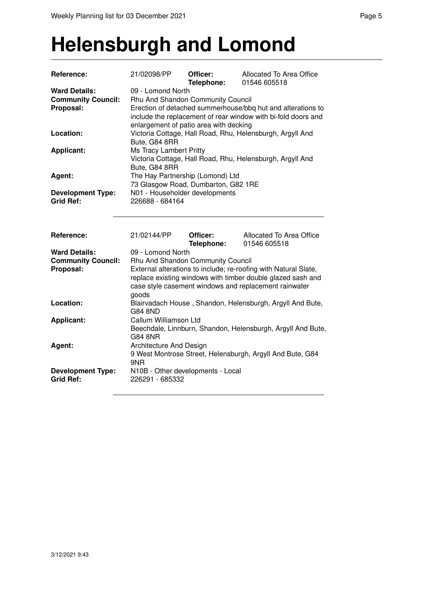#### **Helensburgh and Lomond**

| Reference:                                                     | 21/02098/PP                                                                                                                                                                                                                           | Officer:<br>Telephone: | Allocated To Area Office<br>01546 605518                  |
|----------------------------------------------------------------|---------------------------------------------------------------------------------------------------------------------------------------------------------------------------------------------------------------------------------------|------------------------|-----------------------------------------------------------|
| <b>Ward Details:</b><br><b>Community Council:</b><br>Proposal: | 09 - Lomond North<br>Rhu And Shandon Community Council<br>Erection of detached summerhouse/bbq hut and alterations to<br>include the replacement of rear window with bi-fold doors and<br>enlargement of patio area with decking      |                        |                                                           |
| Location:                                                      | Bute, G84 8RR                                                                                                                                                                                                                         |                        | Victoria Cottage, Hall Road, Rhu, Helensburgh, Argyll And |
| <b>Applicant:</b>                                              | Ms Tracy Lambert Pritty<br>Bute, G84 8RR                                                                                                                                                                                              |                        | Victoria Cottage, Hall Road, Rhu, Helensburgh, Argyll And |
| Agent:                                                         | The Hay Partnership (Lomond) Ltd<br>73 Glasgow Road, Dumbarton, G82 1RE                                                                                                                                                               |                        |                                                           |
| <b>Development Type:</b><br><b>Grid Ref:</b>                   | N01 - Householder developments<br>226688 - 684164                                                                                                                                                                                     |                        |                                                           |
| Reference:                                                     | 21/02144/PP                                                                                                                                                                                                                           | Officer:<br>Telephone: | Allocated To Area Office<br>01546 605518                  |
| <b>Ward Details:</b><br><b>Community Council:</b>              | 09 - Lomond North                                                                                                                                                                                                                     |                        |                                                           |
| Proposal:                                                      | Rhu And Shandon Community Council<br>External alterations to include; re-roofing with Natural Slate,<br>replace existing windows with timber double glazed sash and<br>case style casement windows and replacement rainwater<br>goods |                        |                                                           |
| Location:                                                      | Blairvadach House, Shandon, Helensburgh, Argyll And Bute,<br><b>G84 8ND</b>                                                                                                                                                           |                        |                                                           |
| <b>Applicant:</b>                                              | Callum Williamson Ltd<br>Beechdale, Linnburn, Shandon, Helensburgh, Argyll And Bute,<br><b>G84 8NR</b>                                                                                                                                |                        |                                                           |
| Agent:                                                         | Architecture And Design<br>9NR                                                                                                                                                                                                        |                        | 9 West Montrose Street, Helensburgh, Argyll And Bute, G84 |
| <b>Development Type:</b><br><b>Grid Ref:</b>                   | N10B - Other developments - Local<br>226291 - 685332                                                                                                                                                                                  |                        |                                                           |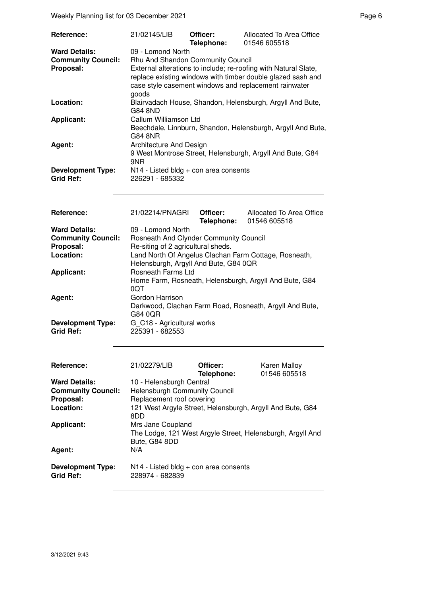Weekly Planning list for 03 December 2021 **Page 6** and the end of the Page 6

| <b>Reference:</b>                            | 21/02145/LIB                                                                                                                                                                                                                          | Officer:<br>Telephone: | Allocated To Area Office<br>01546 605518                    |
|----------------------------------------------|---------------------------------------------------------------------------------------------------------------------------------------------------------------------------------------------------------------------------------------|------------------------|-------------------------------------------------------------|
| <b>Ward Details:</b>                         | 09 - Lomond North                                                                                                                                                                                                                     |                        |                                                             |
| <b>Community Council:</b><br>Proposal:       | Rhu And Shandon Community Council<br>External alterations to include; re-roofing with Natural Slate,<br>replace existing windows with timber double glazed sash and<br>case style casement windows and replacement rainwater<br>goods |                        |                                                             |
| Location:                                    | G84 8ND                                                                                                                                                                                                                               |                        | Blairvadach House, Shandon, Helensburgh, Argyll And Bute,   |
| <b>Applicant:</b>                            | Callum Williamson Ltd<br>G84 8NR                                                                                                                                                                                                      |                        | Beechdale, Linnburn, Shandon, Helensburgh, Argyll And Bute, |
| Agent:                                       | Architecture And Design<br>9NR                                                                                                                                                                                                        |                        | 9 West Montrose Street, Helensburgh, Argyll And Bute, G84   |
| <b>Development Type:</b><br><b>Grid Ref:</b> | $N14$ - Listed bldg + con area consents<br>226291 - 685332                                                                                                                                                                            |                        |                                                             |

| Reference:                | 21/02214/PNAGRI                        | Officer: | Allocated To Area Office                                |
|---------------------------|----------------------------------------|----------|---------------------------------------------------------|
|                           |                                        |          | Telephone: 01546 605518                                 |
| <b>Ward Details:</b>      | 09 - Lomond North                      |          |                                                         |
| <b>Community Council:</b> | Rosneath And Clynder Community Council |          |                                                         |
| Proposal:                 | Re-siting of 2 agricultural sheds.     |          |                                                         |
| Location:                 |                                        |          | Land North Of Angelus Clachan Farm Cottage, Rosneath,   |
|                           | Helensburgh, Argyll And Bute, G84 0QR  |          |                                                         |
| <b>Applicant:</b>         | <b>Rosneath Farms Ltd</b>              |          |                                                         |
|                           |                                        |          | Home Farm, Rosneath, Helensburgh, Argyll And Bute, G84  |
|                           | 0QT                                    |          |                                                         |
| Agent:                    | Gordon Harrison                        |          |                                                         |
|                           |                                        |          | Darkwood, Clachan Farm Road, Rosneath, Argyll And Bute, |
|                           | G84 0QR                                |          |                                                         |
| <b>Development Type:</b>  | G C18 - Agricultural works             |          |                                                         |
| <b>Grid Ref:</b>          | 225391 - 682553                        |          |                                                         |
|                           |                                        |          |                                                         |

| <b>Reference:</b>                            | 21/02279/LIB                                                                                     | Officer:<br>Telephone: | <b>Karen Malloy</b><br>01546 605518 |
|----------------------------------------------|--------------------------------------------------------------------------------------------------|------------------------|-------------------------------------|
| <b>Ward Details:</b>                         | 10 - Helensburgh Central                                                                         |                        |                                     |
| <b>Community Council:</b>                    | <b>Helensburgh Community Council</b>                                                             |                        |                                     |
| Proposal:                                    | Replacement roof covering                                                                        |                        |                                     |
| Location:                                    | 121 West Argyle Street, Helensburgh, Argyll And Bute, G84<br>8DD                                 |                        |                                     |
| <b>Applicant:</b>                            | Mrs Jane Coupland<br>The Lodge, 121 West Argyle Street, Helensburgh, Argyll And<br>Bute, G84 8DD |                        |                                     |
| Agent:                                       | N/A                                                                                              |                        |                                     |
| <b>Development Type:</b><br><b>Grid Ref:</b> | $N14$ - Listed bldg + con area consents<br>228974 - 682839                                       |                        |                                     |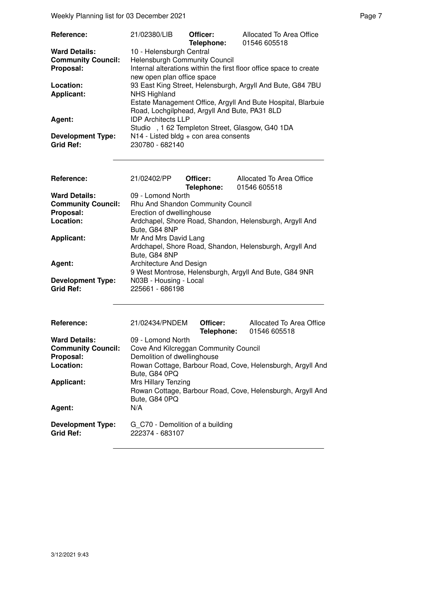| Reference:                | 21/02380/LIB                                                                                     | Officer:   | Allocated To Area Office                                   |
|---------------------------|--------------------------------------------------------------------------------------------------|------------|------------------------------------------------------------|
|                           |                                                                                                  | Telephone: | 01546 605518                                               |
| <b>Ward Details:</b>      | 10 - Helensburgh Central                                                                         |            |                                                            |
| <b>Community Council:</b> | <b>Helensburgh Community Council</b>                                                             |            |                                                            |
| Proposal:                 | Internal alterations within the first floor office space to create<br>new open plan office space |            |                                                            |
|                           |                                                                                                  |            |                                                            |
| Location:                 |                                                                                                  |            | 93 East King Street, Helensburgh, Argyll And Bute, G84 7BU |
| <b>Applicant:</b>         | <b>NHS Highland</b>                                                                              |            |                                                            |
|                           | Estate Management Office, Argyll And Bute Hospital, Blarbuie                                     |            |                                                            |
|                           | Road, Lochgilphead, Argyll And Bute, PA31 8LD                                                    |            |                                                            |
| Agent:                    | <b>IDP Architects LLP</b>                                                                        |            |                                                            |
|                           | Studio, 1 62 Templeton Street, Glasgow, G40 1DA                                                  |            |                                                            |
| <b>Development Type:</b>  | N14 - Listed bldg + con area consents                                                            |            |                                                            |
| <b>Grid Ref:</b>          | 230780 - 682140                                                                                  |            |                                                            |

| Reference:                                   | 21/02402/PP                               | Officer:<br>Telephone: | Allocated To Area Office<br>01546 605518                |
|----------------------------------------------|-------------------------------------------|------------------------|---------------------------------------------------------|
| <b>Ward Details:</b>                         | 09 - Lomond North                         |                        |                                                         |
| <b>Community Council:</b>                    | <b>Rhu And Shandon Community Council</b>  |                        |                                                         |
| Proposal:                                    | Erection of dwellinghouse                 |                        |                                                         |
| Location:                                    |                                           |                        | Ardchapel, Shore Road, Shandon, Helensburgh, Argyll And |
|                                              | Bute, G84 8NP                             |                        |                                                         |
| <b>Applicant:</b>                            | Mr And Mrs David Lang                     |                        |                                                         |
|                                              |                                           |                        | Ardchapel, Shore Road, Shandon, Helensburgh, Argyll And |
|                                              | Bute, G84 8NP                             |                        |                                                         |
| Agent:                                       | Architecture And Design                   |                        |                                                         |
|                                              |                                           |                        | 9 West Montrose, Helensburgh, Argyll And Bute, G84 9NR  |
| <b>Development Type:</b><br><b>Grid Ref:</b> | N03B - Housing - Local<br>225661 - 686198 |                        |                                                         |

| <b>Reference:</b>                            | 21/02434/PNDEM                                      | Officer:<br>Telephone: | Allocated To Area Office<br>01546 605518                   |
|----------------------------------------------|-----------------------------------------------------|------------------------|------------------------------------------------------------|
| <b>Ward Details:</b>                         | 09 - Lomond North                                   |                        |                                                            |
| <b>Community Council:</b>                    | Cove And Kilcreggan Community Council               |                        |                                                            |
| Proposal:                                    | Demolition of dwellinghouse                         |                        |                                                            |
| Location:                                    | Bute, G84 0PQ                                       |                        | Rowan Cottage, Barbour Road, Cove, Helensburgh, Argyll And |
| Applicant:                                   | <b>Mrs Hillary Tenzing</b><br>Bute, G84 0PQ         |                        | Rowan Cottage, Barbour Road, Cove, Helensburgh, Argyll And |
| Agent:                                       | N/A                                                 |                        |                                                            |
| <b>Development Type:</b><br><b>Grid Ref:</b> | G C70 - Demolition of a building<br>222374 - 683107 |                        |                                                            |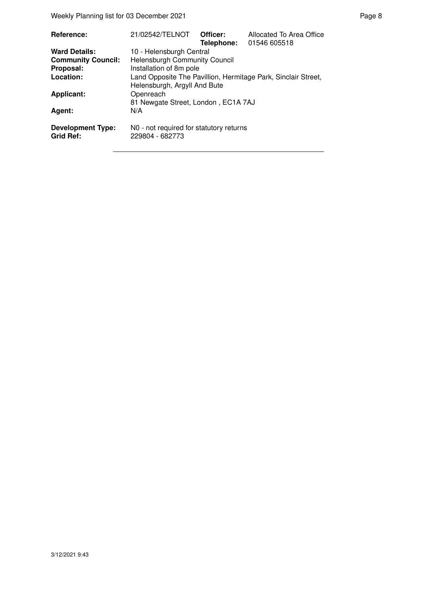Weekly Planning list for 03 December 2021 **Page 8** Page 8

| Reference:                                   | 21/02542/TELNOT                                                                               | Officer: | Allocated To Area Office<br>Telephone: 01546 605518 |  |
|----------------------------------------------|-----------------------------------------------------------------------------------------------|----------|-----------------------------------------------------|--|
| <b>Ward Details:</b>                         | 10 - Helensburgh Central                                                                      |          |                                                     |  |
| <b>Community Council:</b>                    | <b>Helensburgh Community Council</b>                                                          |          |                                                     |  |
| Proposal:                                    | Installation of 8m pole                                                                       |          |                                                     |  |
| Location:                                    | Land Opposite The Pavillion, Hermitage Park, Sinclair Street,<br>Helensburgh, Argyll And Bute |          |                                                     |  |
| Applicant:                                   | Openreach                                                                                     |          |                                                     |  |
|                                              | 81 Newgate Street, London, EC1A 7AJ                                                           |          |                                                     |  |
| Agent:                                       | N/A                                                                                           |          |                                                     |  |
| <b>Development Type:</b><br><b>Grid Ref:</b> | N0 - not required for statutory returns<br>229804 - 682773                                    |          |                                                     |  |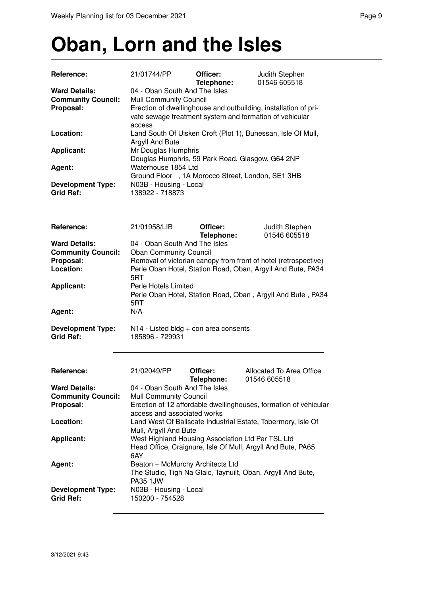## **Oban, Lorn and the Isles**

| Reference:                                                                  | 21/01744/PP                                                                                                                                                                                             | Officer:<br>Telephone:                                                                          | Judith Stephen<br>01546 605518                               |  |  |
|-----------------------------------------------------------------------------|---------------------------------------------------------------------------------------------------------------------------------------------------------------------------------------------------------|-------------------------------------------------------------------------------------------------|--------------------------------------------------------------|--|--|
| <b>Ward Details:</b><br><b>Community Council:</b><br>Proposal:              | 04 - Oban South And The Isles<br><b>Mull Community Council</b><br>Erection of dwellinghouse and outbuilding, installation of pri-<br>vate sewage treatment system and formation of vehicular            |                                                                                                 |                                                              |  |  |
|                                                                             | access                                                                                                                                                                                                  |                                                                                                 |                                                              |  |  |
| Location:                                                                   | Argyll And Bute                                                                                                                                                                                         |                                                                                                 | Land South Of Uisken Croft (Plot 1), Bunessan, Isle Of Mull, |  |  |
| <b>Applicant:</b>                                                           | Mr Douglas Humphris                                                                                                                                                                                     |                                                                                                 | Douglas Humphris, 59 Park Road, Glasgow, G64 2NP             |  |  |
| Agent:                                                                      | Waterhouse 1854 Ltd                                                                                                                                                                                     |                                                                                                 | Ground Floor , 1A Morocco Street, London, SE1 3HB            |  |  |
| <b>Development Type:</b><br><b>Grid Ref:</b>                                | N03B - Housing - Local<br>138922 - 718873                                                                                                                                                               |                                                                                                 |                                                              |  |  |
| <b>Reference:</b>                                                           | 21/01958/LIB                                                                                                                                                                                            | Officer:<br>Telephone:                                                                          | Judith Stephen<br>01546 605518                               |  |  |
| <b>Ward Details:</b><br><b>Community Council:</b><br>Proposal:<br>Location: | 04 - Oban South And The Isles<br><b>Oban Community Council</b><br>Removal of victorian canopy from front of hotel (retrospective)<br>Perle Oban Hotel, Station Road, Oban, Argyll And Bute, PA34<br>5RT |                                                                                                 |                                                              |  |  |
| <b>Applicant:</b>                                                           | Perle Hotels Limited<br>5RT                                                                                                                                                                             |                                                                                                 | Perle Oban Hotel, Station Road, Oban, Argyll And Bute, PA34  |  |  |
| Agent:                                                                      | N/A                                                                                                                                                                                                     |                                                                                                 |                                                              |  |  |
| <b>Development Type:</b><br><b>Grid Ref:</b>                                | 185896 - 729931                                                                                                                                                                                         | $N14$ - Listed bldg + con area consents                                                         |                                                              |  |  |
| <b>Reference:</b>                                                           | 21/02049/PP                                                                                                                                                                                             | Officer:<br>Telephone:                                                                          | Allocated To Area Office<br>01546 605518                     |  |  |
| <b>Ward Details:</b><br><b>Community Council:</b><br>Proposal:              | 04 - Oban South And The Isles<br>Mull Community Council<br>Erection of 12 affordable dwellinghouses, formation of vehicular<br>access and associated works                                              |                                                                                                 |                                                              |  |  |
| Location:                                                                   | Land West Of Baliscate Industrial Estate, Tobermory, Isle Of                                                                                                                                            |                                                                                                 |                                                              |  |  |
| <b>Applicant:</b>                                                           | Mull, Argyll And Bute<br>West Highland Housing Association Ltd Per TSL Ltd<br>Head Office, Craignure, Isle Of Mull, Argyll And Bute, PA65<br>6AY                                                        |                                                                                                 |                                                              |  |  |
| Agent:                                                                      | <b>PA35 1JW</b>                                                                                                                                                                                         | Beaton + McMurchy Architects Ltd<br>The Studio, Tigh Na Glaic, Taynuilt, Oban, Argyll And Bute, |                                                              |  |  |
| <b>Development Type:</b><br><b>Grid Ref:</b>                                | N03B - Housing - Local<br>150200 - 754528                                                                                                                                                               |                                                                                                 |                                                              |  |  |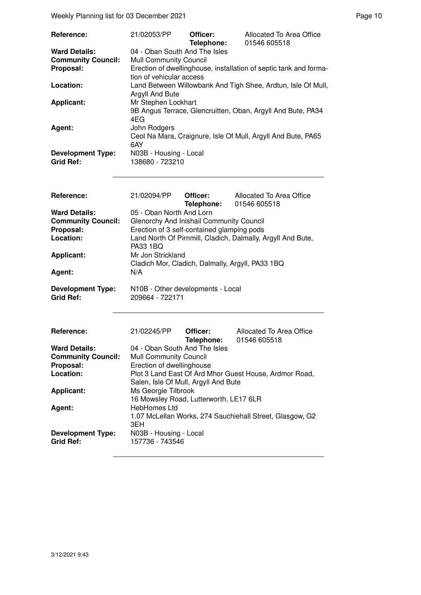Weekly Planning list for 03 December 2021 **Page 10** Page 10

| Reference:                | 21/02053/PP                                                                            | Officer:<br>Telephone:        | Allocated To Area Office<br>01546 605518                          |  |  |  |
|---------------------------|----------------------------------------------------------------------------------------|-------------------------------|-------------------------------------------------------------------|--|--|--|
| <b>Ward Details:</b>      |                                                                                        | 04 - Oban South And The Isles |                                                                   |  |  |  |
| <b>Community Council:</b> | <b>Mull Community Council</b>                                                          |                               |                                                                   |  |  |  |
| Proposal:                 | tion of vehicular access                                                               |                               | Erection of dwellinghouse, installation of septic tank and forma- |  |  |  |
| Location:                 |                                                                                        |                               | Land Between Willowbank And Tigh Shee, Ardtun, Isle Of Mull,      |  |  |  |
|                           | Argyll And Bute                                                                        |                               |                                                                   |  |  |  |
| <b>Applicant:</b>         |                                                                                        |                               |                                                                   |  |  |  |
|                           | Mr Stephen Lockhart<br>9B Angus Terrace, Glencruitten, Oban, Argyll And Bute, PA34     |                               |                                                                   |  |  |  |
|                           |                                                                                        |                               |                                                                   |  |  |  |
|                           | 4EG                                                                                    |                               |                                                                   |  |  |  |
| Agent:                    | John Rodgers                                                                           |                               |                                                                   |  |  |  |
|                           |                                                                                        |                               | Ceol Na Mara, Craignure, Isle Of Mull, Argyll And Bute, PA65      |  |  |  |
|                           | 6AY                                                                                    |                               |                                                                   |  |  |  |
| <b>Development Type:</b>  | N03B - Housing - Local                                                                 |                               |                                                                   |  |  |  |
| <b>Grid Ref:</b>          | 138680 - 723210                                                                        |                               |                                                                   |  |  |  |
|                           |                                                                                        |                               |                                                                   |  |  |  |
|                           |                                                                                        |                               |                                                                   |  |  |  |
|                           |                                                                                        |                               |                                                                   |  |  |  |
| Reference:                | 21/02094/PP                                                                            | Officer:                      | Allocated To Area Office                                          |  |  |  |
|                           |                                                                                        | Telephone:                    | 01546 605518                                                      |  |  |  |
| <b>Ward Details:</b>      | 05 - Oban North And Lorn                                                               |                               |                                                                   |  |  |  |
| <b>Community Council:</b> |                                                                                        |                               |                                                                   |  |  |  |
| Proposal:                 | Glenorchy And Inishail Community Council<br>Erection of 3 self-contained glamping pods |                               |                                                                   |  |  |  |
| Location:                 |                                                                                        |                               | Land North Of Pirnmill, Cladich, Dalmally, Argyll And Bute,       |  |  |  |
|                           | <b>PA33 1BQ</b>                                                                        |                               |                                                                   |  |  |  |
| <b>Applicant:</b>         | Mr Jon Strickland                                                                      |                               |                                                                   |  |  |  |
|                           | Cladich Mor, Cladich, Dalmally, Argyll, PA33 1BQ                                       |                               |                                                                   |  |  |  |
| Agent:                    | N/A                                                                                    |                               |                                                                   |  |  |  |
|                           |                                                                                        |                               |                                                                   |  |  |  |
| <b>Development Type:</b>  | N10B - Other developments - Local                                                      |                               |                                                                   |  |  |  |
| <b>Grid Ref:</b>          | 209664 - 722171                                                                        |                               |                                                                   |  |  |  |
|                           |                                                                                        |                               |                                                                   |  |  |  |
|                           |                                                                                        |                               |                                                                   |  |  |  |
|                           |                                                                                        |                               |                                                                   |  |  |  |
| Reference:                | 21/02245/PP                                                                            | Officer:                      | Allocated To Area Office                                          |  |  |  |
|                           |                                                                                        |                               |                                                                   |  |  |  |
|                           |                                                                                        | Telephone:                    | 01546 605518                                                      |  |  |  |
| <b>Ward Details:</b>      | 04 - Oban South And The Isles                                                          |                               |                                                                   |  |  |  |
| <b>Community Council:</b> | <b>Mull Community Council</b>                                                          |                               |                                                                   |  |  |  |
| Proposal:                 | Erection of dwellinghouse                                                              |                               |                                                                   |  |  |  |
| Location:                 |                                                                                        |                               | Plot 3 Land East Of Ard Mhor Guest House, Ardmor Road,            |  |  |  |
|                           | Salen, Isle Of Mull, Argyll And Bute                                                   |                               |                                                                   |  |  |  |
| <b>Applicant:</b>         | Ms Georgie Tilbrook                                                                    |                               |                                                                   |  |  |  |
|                           | 16 Mowsley Road, Lutterworth, LE17 6LR                                                 |                               |                                                                   |  |  |  |
| Agent:                    | HebHomes Ltd                                                                           |                               |                                                                   |  |  |  |
|                           | 1.07 McLellan Works, 274 Sauchiehall Street, Glasgow, G2                               |                               |                                                                   |  |  |  |
|                           | 3EH                                                                                    |                               |                                                                   |  |  |  |
| <b>Development Type:</b>  | N03B - Housing - Local                                                                 |                               |                                                                   |  |  |  |
| <b>Grid Ref:</b>          | 157736 - 743546                                                                        |                               |                                                                   |  |  |  |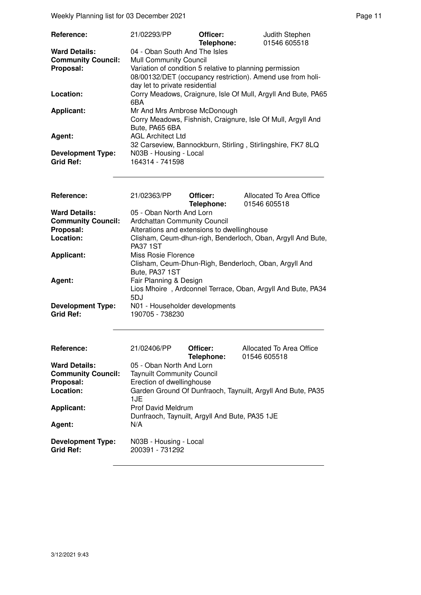Weekly Planning list for 03 December 2021 **Page 11 Page 11** 

| Reference:                | 21/02293/PP                                                   | Officer:<br>Telephone: | Judith Stephen<br>01546 605518 |  |
|---------------------------|---------------------------------------------------------------|------------------------|--------------------------------|--|
| <b>Ward Details:</b>      | 04 - Oban South And The Isles                                 |                        |                                |  |
| <b>Community Council:</b> | <b>Mull Community Council</b>                                 |                        |                                |  |
| Proposal:                 | Variation of condition 5 relative to planning permission      |                        |                                |  |
|                           | 08/00132/DET (occupancy restriction). Amend use from holi-    |                        |                                |  |
|                           | day let to private residential                                |                        |                                |  |
| Location:                 | Corry Meadows, Craignure, Isle Of Mull, Argyll And Bute, PA65 |                        |                                |  |
|                           | 6BA                                                           |                        |                                |  |
| Applicant:                | Mr And Mrs Ambrose McDonough                                  |                        |                                |  |
|                           | Corry Meadows, Fishnish, Craignure, Isle Of Mull, Argyll And  |                        |                                |  |
|                           | Bute, PA65 6BA                                                |                        |                                |  |
| Agent:                    | <b>AGL Architect Ltd</b>                                      |                        |                                |  |
|                           | 32 Carseview, Bannockburn, Stirling, Stirlingshire, FK7 8LQ   |                        |                                |  |
| <b>Development Type:</b>  | N03B - Housing - Local                                        |                        |                                |  |
| <b>Grid Ref:</b>          | 164314 - 741598                                               |                        |                                |  |

| Reference:                                   | 21/02363/PP                                       | Officer:<br>Telephone: | Allocated To Area Office<br>01546 605518                    |
|----------------------------------------------|---------------------------------------------------|------------------------|-------------------------------------------------------------|
| <b>Ward Details:</b>                         | 05 - Oban North And Lorn                          |                        |                                                             |
| <b>Community Council:</b>                    | <b>Ardchattan Community Council</b>               |                        |                                                             |
| Proposal:                                    | Alterations and extensions to dwellinghouse       |                        |                                                             |
| Location:                                    | <b>PA37 1ST</b>                                   |                        | Clisham, Ceum-dhun-righ, Benderloch, Oban, Argyll And Bute, |
| <b>Applicant:</b>                            | Miss Rosie Florence<br>Bute, PA37 1ST             |                        | Clisham, Ceum-Dhun-Righ, Benderloch, Oban, Argyll And       |
| Agent:                                       | Fair Planning & Design<br>5DJ                     |                        | Lios Mhoire, Ardconnel Terrace, Oban, Argyll And Bute, PA34 |
| <b>Development Type:</b><br><b>Grid Ref:</b> | N01 - Householder developments<br>190705 - 738230 |                        |                                                             |

| <b>Reference:</b>                            | 21/02406/PP                                    | Officer:<br>Telephone: | Allocated To Area Office<br>01546 605518                    |
|----------------------------------------------|------------------------------------------------|------------------------|-------------------------------------------------------------|
| <b>Ward Details:</b>                         | 05 - Oban North And Lorn                       |                        |                                                             |
| <b>Community Council:</b>                    | <b>Taynuilt Community Council</b>              |                        |                                                             |
| Proposal:                                    | Erection of dwellinghouse                      |                        |                                                             |
| Location:                                    | 1.JE                                           |                        | Garden Ground Of Dunfraoch, Taynuilt, Argyll And Bute, PA35 |
| <b>Applicant:</b>                            | <b>Prof David Meldrum</b>                      |                        |                                                             |
|                                              | Dunfraoch, Taynuilt, Argyll And Bute, PA35 1JE |                        |                                                             |
| Agent:                                       | N/A                                            |                        |                                                             |
| <b>Development Type:</b><br><b>Grid Ref:</b> | N03B - Housing - Local<br>200391 - 731292      |                        |                                                             |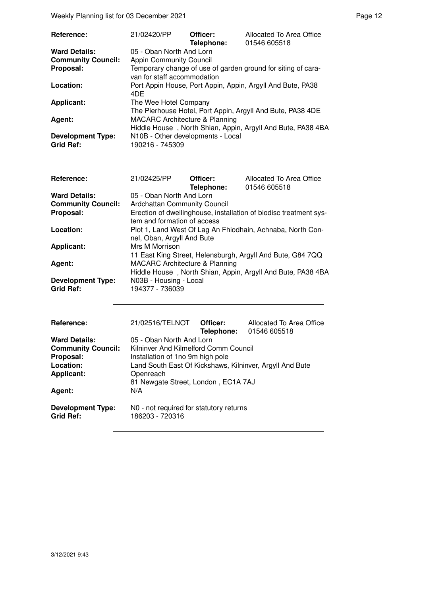Weekly Planning list for 03 December 2021 **Page 12** Page 12

| Reference:                                   | 21/02420/PP                                                                                 | Officer:<br>Telephone: | Allocated To Area Office<br>01546 605518                    |  |
|----------------------------------------------|---------------------------------------------------------------------------------------------|------------------------|-------------------------------------------------------------|--|
| <b>Ward Details:</b>                         | 05 - Oban North And Lorn                                                                    |                        |                                                             |  |
| <b>Community Council:</b>                    | <b>Appin Community Council</b>                                                              |                        |                                                             |  |
| Proposal:                                    | Temporary change of use of garden ground for siting of cara-<br>van for staff accommodation |                        |                                                             |  |
| Location:                                    | 4DE                                                                                         |                        | Port Appin House, Port Appin, Appin, Argyll And Bute, PA38  |  |
| <b>Applicant:</b>                            | The Wee Hotel Company<br>The Pierhouse Hotel, Port Appin, Argyll And Bute, PA38 4DE         |                        |                                                             |  |
| Agent:                                       | <b>MACARC Architecture &amp; Planning</b>                                                   |                        |                                                             |  |
|                                              |                                                                                             |                        | Hiddle House, North Shian, Appin, Argyll And Bute, PA38 4BA |  |
| <b>Development Type:</b><br><b>Grid Ref:</b> | N10B - Other developments - Local<br>190216 - 745309                                        |                        |                                                             |  |

| Reference:                                   | 21/02425/PP                                                                                              | Officer:<br>Telephone: | Allocated To Area Office<br>01546 605518                          |  |  |
|----------------------------------------------|----------------------------------------------------------------------------------------------------------|------------------------|-------------------------------------------------------------------|--|--|
| <b>Ward Details:</b>                         | 05 - Oban North And Lorn                                                                                 |                        |                                                                   |  |  |
| <b>Community Council:</b>                    | Ardchattan Community Council                                                                             |                        |                                                                   |  |  |
| Proposal:                                    | tem and formation of access                                                                              |                        | Erection of dwellinghouse, installation of biodisc treatment sys- |  |  |
| Location:                                    | Plot 1, Land West Of Lag An Fhiodhain, Achnaba, North Con-<br>nel, Oban, Argyll And Bute                 |                        |                                                                   |  |  |
| Applicant:                                   | Mrs M Morrison                                                                                           |                        | 11 East King Street, Helensburgh, Argyll And Bute, G84 7QQ        |  |  |
| Agent:                                       | <b>MACARC Architecture &amp; Planning</b><br>Hiddle House, North Shian, Appin, Argyll And Bute, PA38 4BA |                        |                                                                   |  |  |
| <b>Development Type:</b><br><b>Grid Ref:</b> | N03B - Housing - Local<br>194377 - 736039                                                                |                        |                                                                   |  |  |

| Reference:                                   | 21/02516/TELNOT                                            | Officer: | Allocated To Area Office<br>Telephone: 01546 605518 |
|----------------------------------------------|------------------------------------------------------------|----------|-----------------------------------------------------|
| <b>Ward Details:</b>                         | 05 - Oban North And Lorn                                   |          |                                                     |
| <b>Community Council:</b>                    | Kilninver And Kilmelford Comm Council                      |          |                                                     |
| Proposal:                                    | Installation of 1no 9m high pole                           |          |                                                     |
| Location:                                    | Land South East Of Kickshaws, Kilninver, Argyll And Bute   |          |                                                     |
| <b>Applicant:</b>                            | Openreach                                                  |          |                                                     |
|                                              | 81 Newgate Street, London, EC1A 7AJ                        |          |                                                     |
| Agent:                                       | N/A                                                        |          |                                                     |
| <b>Development Type:</b><br><b>Grid Ref:</b> | N0 - not required for statutory returns<br>186203 - 720316 |          |                                                     |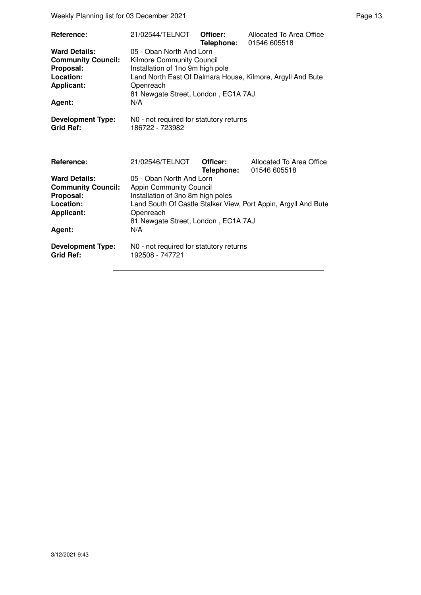Weekly Planning list for 03 December 2021 **Page 13** Page 13

| Reference:<br><b>Ward Details:</b><br><b>Community Council:</b><br>Proposal:<br>Location:<br><b>Applicant:</b><br>Agent: | 21/02544/TELNOT<br>05 - Oban North And Lorn<br>Kilmore Community Council<br>Installation of 1no 9m high pole<br>Openreach<br>81 Newgate Street, London, EC1A 7AJ<br>N/A       | Officer:<br>Telephone: | Allocated To Area Office<br>01546 605518<br>Land North East Of Dalmara House, Kilmore, Argyll And Bute     |
|--------------------------------------------------------------------------------------------------------------------------|-------------------------------------------------------------------------------------------------------------------------------------------------------------------------------|------------------------|------------------------------------------------------------------------------------------------------------|
| <b>Development Type:</b><br><b>Grid Ref:</b>                                                                             | NO - not required for statutory returns<br>186722 - 723982                                                                                                                    |                        |                                                                                                            |
| Reference:<br><b>Ward Details:</b><br><b>Community Council:</b><br>Proposal:<br>Location:<br><b>Applicant:</b><br>Agent: | 21/02546/TELNOT<br>05 - Oban North And Lorn<br><b>Appin Community Council</b><br>Installation of 3no 8m high poles<br>Openreach<br>81 Newgate Street, London, EC1A 7AJ<br>N/A | Officer:<br>Telephone: | Allocated To Area Office<br>01546 605518<br>Land South Of Castle Stalker View, Port Appin, Argyll And Bute |
| <b>Development Type:</b><br><b>Grid Ref:</b>                                                                             | N0 - not required for statutory returns<br>192508 - 747721                                                                                                                    |                        |                                                                                                            |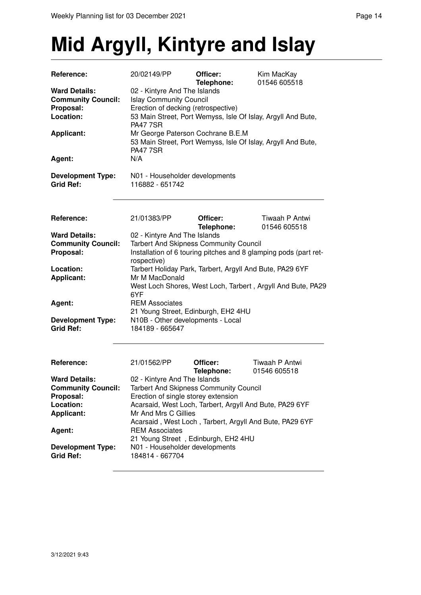### **Mid Argyll, Kintyre and Islay**

| Reference:                                                                                       | 20/02149/PP                                                                                                                                                                                      | Officer:<br>Telephone: | Kim MacKay<br>01546 605518     |  |
|--------------------------------------------------------------------------------------------------|--------------------------------------------------------------------------------------------------------------------------------------------------------------------------------------------------|------------------------|--------------------------------|--|
| <b>Ward Details:</b><br><b>Community Council:</b><br>Proposal:<br>Location:                      | 02 - Kintyre And The Islands<br><b>Islay Community Council</b><br>Erection of decking (retrospective)<br>53 Main Street, Port Wemyss, Isle Of Islay, Argyll And Bute,<br><b>PA47 7SR</b>         |                        |                                |  |
| <b>Applicant:</b>                                                                                | Mr George Paterson Cochrane B.E.M<br>53 Main Street, Port Wemyss, Isle Of Islay, Argyll And Bute,<br><b>PA47 7SR</b>                                                                             |                        |                                |  |
| Agent:                                                                                           | N/A                                                                                                                                                                                              |                        |                                |  |
| <b>Development Type:</b><br><b>Grid Ref:</b>                                                     | N01 - Householder developments<br>116882 - 651742                                                                                                                                                |                        |                                |  |
| Reference:                                                                                       | 21/01383/PP                                                                                                                                                                                      | Officer:<br>Telephone: | Tiwaah P Antwi<br>01546 605518 |  |
| <b>Ward Details:</b><br><b>Community Council:</b><br>Proposal:                                   | 02 - Kintyre And The Islands<br><b>Tarbert And Skipness Community Council</b><br>Installation of 6 touring pitches and 8 glamping pods (part ret-<br>rospective)                                 |                        |                                |  |
| Location:<br><b>Applicant:</b>                                                                   | Tarbert Holiday Park, Tarbert, Argyll And Bute, PA29 6YF<br>Mr M MacDonald<br>West Loch Shores, West Loch, Tarbert, Argyll And Bute, PA29<br>6YF                                                 |                        |                                |  |
| Agent:                                                                                           | <b>REM Associates</b><br>21 Young Street, Edinburgh, EH2 4HU                                                                                                                                     |                        |                                |  |
| <b>Development Type:</b><br><b>Grid Ref:</b>                                                     | N10B - Other developments - Local<br>184189 - 665647                                                                                                                                             |                        |                                |  |
| Reference:                                                                                       | 21/01562/PP                                                                                                                                                                                      | Officer:<br>Telephone: | Tiwaah P Antwi<br>01546 605518 |  |
| <b>Ward Details:</b><br><b>Community Council:</b><br>Proposal:<br>Location:<br><b>Applicant:</b> | 02 - Kintyre And The Islands<br>Tarbert And Skipness Community Council<br>Erection of single storey extension<br>Acarsaid, West Loch, Tarbert, Argyll And Bute, PA29 6YF<br>Mr And Mrs C Gillies |                        |                                |  |
| Agent:                                                                                           | Acarsaid, West Loch, Tarbert, Argyll And Bute, PA29 6YF<br><b>REM Associates</b><br>21 Young Street, Edinburgh, EH2 4HU                                                                          |                        |                                |  |
| <b>Development Type:</b><br><b>Grid Ref:</b>                                                     | N01 - Householder developments<br>184814 - 667704                                                                                                                                                |                        |                                |  |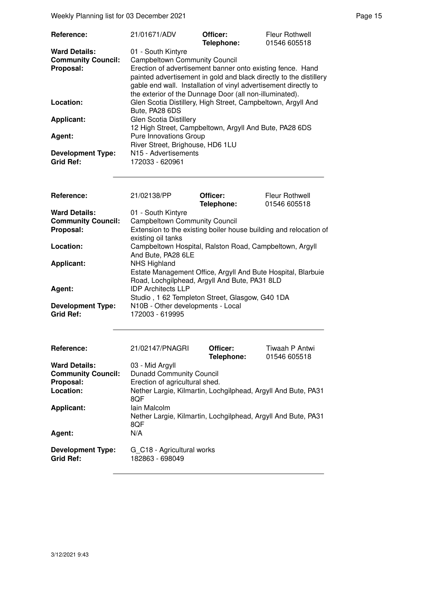Weekly Planning list for 03 December 2021 **Page 15** Neekly Planning list for 03 December 2021

| Reference:                                   | 21/01671/ADV                                                                                                                                                                                                                                                   | Officer:<br>Telephone: | <b>Fleur Rothwell</b><br>01546 605518 |
|----------------------------------------------|----------------------------------------------------------------------------------------------------------------------------------------------------------------------------------------------------------------------------------------------------------------|------------------------|---------------------------------------|
| <b>Ward Details:</b>                         | 01 - South Kintyre                                                                                                                                                                                                                                             |                        |                                       |
| <b>Community Council:</b>                    | <b>Campbeltown Community Council</b>                                                                                                                                                                                                                           |                        |                                       |
| Proposal:                                    | Erection of advertisement banner onto existing fence. Hand<br>painted advertisement in gold and black directly to the distillery<br>gable end wall. Installation of vinyl advertisement directly to<br>the exterior of the Dunnage Door (all non-illuminated). |                        |                                       |
| Location:                                    | Glen Scotia Distillery, High Street, Campbeltown, Argyll And<br>Bute, PA28 6DS                                                                                                                                                                                 |                        |                                       |
| <b>Applicant:</b>                            | Glen Scotia Distillery<br>12 High Street, Campbeltown, Argyll And Bute, PA28 6DS                                                                                                                                                                               |                        |                                       |
| Agent:                                       | <b>Pure Innovations Group</b><br>River Street, Brighouse, HD6 1LU                                                                                                                                                                                              |                        |                                       |
| <b>Development Type:</b><br><b>Grid Ref:</b> | N <sub>15</sub> - Advertisements<br>172033 - 620961                                                                                                                                                                                                            |                        |                                       |

| Reference:                                   | 21/02138/PP                                                                                                                          | Officer:<br>Telephone: | <b>Fleur Rothwell</b><br>01546 605518 |
|----------------------------------------------|--------------------------------------------------------------------------------------------------------------------------------------|------------------------|---------------------------------------|
| <b>Ward Details:</b>                         | 01 - South Kintyre                                                                                                                   |                        |                                       |
| <b>Community Council:</b>                    | <b>Campbeltown Community Council</b>                                                                                                 |                        |                                       |
| Proposal:                                    | Extension to the existing boiler house building and relocation of<br>existing oil tanks                                              |                        |                                       |
| Location:                                    | Campbeltown Hospital, Ralston Road, Campbeltown, Argyll<br>And Bute, PA28 6LE                                                        |                        |                                       |
| <b>Applicant:</b>                            | <b>NHS Highland</b><br>Estate Management Office, Argyll And Bute Hospital, Blarbuie<br>Road, Lochgilphead, Argyll And Bute, PA31 8LD |                        |                                       |
| Agent:                                       | <b>IDP Architects LLP</b><br>Studio, 1 62 Templeton Street, Glasgow, G40 1DA                                                         |                        |                                       |
| <b>Development Type:</b><br><b>Grid Ref:</b> | N10B - Other developments - Local<br>172003 - 619995                                                                                 |                        |                                       |

| <b>Reference:</b>                            | 21/02147/PNAGRI                                               | Officer:<br>Telephone: | Tiwaah P Antwi<br>01546 605518 |
|----------------------------------------------|---------------------------------------------------------------|------------------------|--------------------------------|
| <b>Ward Details:</b>                         | 03 - Mid Argyll                                               |                        |                                |
| <b>Community Council:</b>                    | <b>Dunadd Community Council</b>                               |                        |                                |
| Proposal:                                    | Erection of agricultural shed.                                |                        |                                |
| Location:                                    | Nether Largie, Kilmartin, Lochgilphead, Argyll And Bute, PA31 |                        |                                |
|                                              | 8QF                                                           |                        |                                |
| <b>Applicant:</b>                            | Iain Malcolm                                                  |                        |                                |
|                                              | Nether Largie, Kilmartin, Lochgilphead, Argyll And Bute, PA31 |                        |                                |
|                                              | 8QF                                                           |                        |                                |
| Agent:                                       | N/A                                                           |                        |                                |
| <b>Development Type:</b><br><b>Grid Ref:</b> | G_C18 - Agricultural works<br>182863 - 698049                 |                        |                                |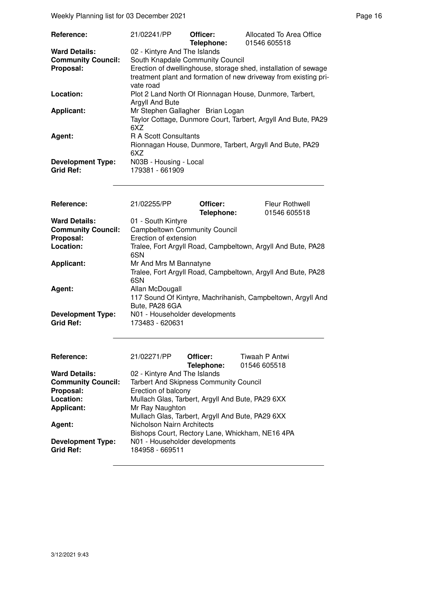Weekly Planning list for 03 December 2021 **Page 16** Network 2021

| <b>Reference:</b>                            | 21/02241/PP                                                                                                                                      | Officer:<br>Telephone: | Allocated To Area Office<br>01546 605518                      |
|----------------------------------------------|--------------------------------------------------------------------------------------------------------------------------------------------------|------------------------|---------------------------------------------------------------|
| <b>Ward Details:</b>                         | 02 - Kintyre And The Islands                                                                                                                     |                        |                                                               |
| <b>Community Council:</b>                    | South Knapdale Community Council                                                                                                                 |                        |                                                               |
| Proposal:                                    | Erection of dwellinghouse, storage shed, installation of sewage<br>treatment plant and formation of new driveway from existing pri-<br>vate road |                        |                                                               |
| Location:                                    | Plot 2 Land North Of Rionnagan House, Dunmore, Tarbert,<br>Argyll And Bute                                                                       |                        |                                                               |
| <b>Applicant:</b>                            | Mr Stephen Gallagher Brian Logan<br>6XZ                                                                                                          |                        | Taylor Cottage, Dunmore Court, Tarbert, Argyll And Bute, PA29 |
| Agent:                                       | R A Scott Consultants<br>6XZ                                                                                                                     |                        | Rionnagan House, Dunmore, Tarbert, Argyll And Bute, PA29      |
| <b>Development Type:</b><br><b>Grid Ref:</b> | N03B - Housing - Local<br>179381 - 661909                                                                                                        |                        |                                                               |

| <b>Reference:</b>                            | 21/02255/PP                                                                   | Officer:<br>Telephone: | <b>Fleur Rothwell</b><br>01546 605518 |
|----------------------------------------------|-------------------------------------------------------------------------------|------------------------|---------------------------------------|
| <b>Ward Details:</b>                         | 01 - South Kintyre                                                            |                        |                                       |
| <b>Community Council:</b>                    | <b>Campbeltown Community Council</b>                                          |                        |                                       |
| Proposal:                                    | Erection of extension                                                         |                        |                                       |
| Location:                                    | Tralee, Fort Argyll Road, Campbeltown, Argyll And Bute, PA28<br>6SN           |                        |                                       |
| <b>Applicant:</b>                            | Mr And Mrs M Bannatyne                                                        |                        |                                       |
|                                              | Tralee, Fort Argyll Road, Campbeltown, Argyll And Bute, PA28<br>6SN           |                        |                                       |
| Agent:                                       | Allan McDougall                                                               |                        |                                       |
|                                              | 117 Sound Of Kintyre, Machrihanish, Campbeltown, Argyll And<br>Bute, PA28 6GA |                        |                                       |
| <b>Development Type:</b><br><b>Grid Ref:</b> | N01 - Householder developments<br>173483 - 620631                             |                        |                                       |
|                                              |                                                                               |                        |                                       |

| Reference:                | 21/02271/PP                                      | Officer:<br>Telephone: | Tiwaah P Antwi<br>01546 605518 |  |  |
|---------------------------|--------------------------------------------------|------------------------|--------------------------------|--|--|
| <b>Ward Details:</b>      | 02 - Kintyre And The Islands                     |                        |                                |  |  |
| <b>Community Council:</b> | Tarbert And Skipness Community Council           |                        |                                |  |  |
| Proposal:                 | Erection of balcony                              |                        |                                |  |  |
| Location:                 | Mullach Glas, Tarbert, Argyll And Bute, PA29 6XX |                        |                                |  |  |
| <b>Applicant:</b>         | Mr Ray Naughton                                  |                        |                                |  |  |
|                           | Mullach Glas, Tarbert, Argyll And Bute, PA29 6XX |                        |                                |  |  |
| Agent:                    | Nicholson Nairn Architects                       |                        |                                |  |  |
|                           | Bishops Court, Rectory Lane, Whickham, NE16 4PA  |                        |                                |  |  |
| <b>Development Type:</b>  | N01 - Householder developments                   |                        |                                |  |  |
| <b>Grid Ref:</b>          | 184958 - 669511                                  |                        |                                |  |  |
|                           |                                                  |                        |                                |  |  |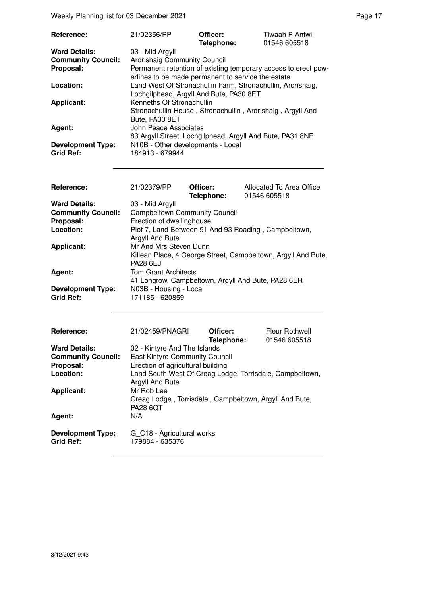Weekly Planning list for 03 December 2021 **Page 17** Neekly Planning list for 03 December 2021

| Reference:                                   | 21/02356/PP                                                                                               | Officer:<br>Telephone: | Tiwaah P Antwi<br>01546 605518                                 |
|----------------------------------------------|-----------------------------------------------------------------------------------------------------------|------------------------|----------------------------------------------------------------|
| <b>Ward Details:</b>                         | 03 - Mid Argyll                                                                                           |                        |                                                                |
| <b>Community Council:</b>                    | <b>Ardrishaig Community Council</b>                                                                       |                        |                                                                |
| Proposal:                                    | erlines to be made permanent to service the estate                                                        |                        | Permanent retention of existing temporary access to erect pow- |
| Location:                                    | Land West Of Stronachullin Farm, Stronachullin, Ardrishaig,<br>Lochgilphead, Argyll And Bute, PA30 8ET    |                        |                                                                |
| <b>Applicant:</b>                            | Kenneths Of Stronachullin<br>Stronachullin House, Stronachullin, Ardrishaig, Argyll And<br>Bute, PA30 8ET |                        |                                                                |
| Agent:                                       | John Peace Associates<br>83 Argyll Street, Lochgilphead, Argyll And Bute, PA31 8NE                        |                        |                                                                |
| <b>Development Type:</b><br><b>Grid Ref:</b> | N10B - Other developments - Local<br>184913 - 679944                                                      |                        |                                                                |

| Reference:                                   | 21/02379/PP                                                             | Officer:<br>Telephone: | Allocated To Area Office<br>01546 605518                      |
|----------------------------------------------|-------------------------------------------------------------------------|------------------------|---------------------------------------------------------------|
| <b>Ward Details:</b>                         | 03 - Mid Argyll                                                         |                        |                                                               |
| <b>Community Council:</b>                    | <b>Campbeltown Community Council</b>                                    |                        |                                                               |
| Proposal:                                    | Erection of dwellinghouse                                               |                        |                                                               |
| Location:                                    | Plot 7, Land Between 91 And 93 Roading, Campbeltown,<br>Argyll And Bute |                        |                                                               |
| <b>Applicant:</b>                            | Mr And Mrs Steven Dunn<br><b>PA28 6EJ</b>                               |                        | Killean Place, 4 George Street, Campbeltown, Argyll And Bute, |
| Agent:                                       | <b>Tom Grant Architects</b>                                             |                        | 41 Longrow, Campbeltown, Argyll And Bute, PA28 6ER            |
| <b>Development Type:</b><br><b>Grid Ref:</b> | N03B - Housing - Local<br>171185 - 620859                               |                        |                                                               |

| <b>Reference:</b>                            | 21/02459/PNAGRI                                                             | Officer:<br>Telephone: | Fleur Rothwell<br>01546 605518 |
|----------------------------------------------|-----------------------------------------------------------------------------|------------------------|--------------------------------|
| <b>Ward Details:</b>                         | 02 - Kintyre And The Islands                                                |                        |                                |
| <b>Community Council:</b>                    | <b>East Kintyre Community Council</b>                                       |                        |                                |
| Proposal:                                    | Erection of agricultural building                                           |                        |                                |
| Location:                                    | Land South West Of Creag Lodge, Torrisdale, Campbeltown,<br>Argyll And Bute |                        |                                |
| <b>Applicant:</b>                            | Mr Rob Lee                                                                  |                        |                                |
|                                              | Creag Lodge, Torrisdale, Campbeltown, Argyll And Bute,<br><b>PA28 6QT</b>   |                        |                                |
| Agent:                                       | N/A                                                                         |                        |                                |
| <b>Development Type:</b><br><b>Grid Ref:</b> | G C18 - Agricultural works<br>179884 - 635376                               |                        |                                |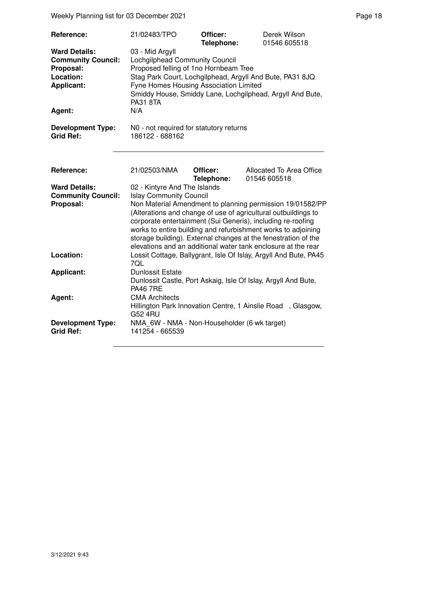Weekly Planning list for 03 December 2021 **Page 18** Page 18

| <b>Reference:</b><br><b>Ward Details:</b><br><b>Community Council:</b><br>Proposal:<br>Location:<br><b>Applicant:</b><br>Agent: | 21/02483/TPO<br>03 - Mid Argyll<br>Lochgilphead Community Council<br>Proposed felling of 1no Hornbeam Tree<br>Stag Park Court, Lochgilphead, Argyll And Bute, PA31 8JQ<br>Fyne Homes Housing Association Limited<br><b>PA31 8TA</b><br>N/A                                                                                                                                                                                                                                                     | Officer:<br>Telephone: | Derek Wilson<br>01546 605518<br>Smiddy House, Smiddy Lane, Lochgilphead, Argyll And Bute, |  |
|---------------------------------------------------------------------------------------------------------------------------------|------------------------------------------------------------------------------------------------------------------------------------------------------------------------------------------------------------------------------------------------------------------------------------------------------------------------------------------------------------------------------------------------------------------------------------------------------------------------------------------------|------------------------|-------------------------------------------------------------------------------------------|--|
| <b>Development Type:</b><br><b>Grid Ref:</b>                                                                                    | N0 - not required for statutory returns<br>186122 - 688162                                                                                                                                                                                                                                                                                                                                                                                                                                     |                        |                                                                                           |  |
| Reference:                                                                                                                      | 21/02503/NMA                                                                                                                                                                                                                                                                                                                                                                                                                                                                                   | Officer:               | Allocated To Area Office                                                                  |  |
| <b>Ward Details:</b><br><b>Community Council:</b><br>Proposal:                                                                  | 01546 605518<br>Telephone:<br>02 - Kintyre And The Islands<br><b>Islay Community Council</b><br>Non Material Amendment to planning permission 19/01582/PP<br>(Alterations and change of use of agricultural outbuildings to<br>corporate entertainment (Sui Generis), including re-roofing<br>works to entire building and refurbishment works to adjoining<br>storage building). External changes at the fenestration of the<br>elevations and an additional water tank enclosure at the rear |                        |                                                                                           |  |
| Location:                                                                                                                       | Lossit Cottage, Ballygrant, Isle Of Islay, Argyll And Bute, PA45<br>7QL<br><b>Dunlossit Estate</b><br>Dunlossit Castle, Port Askaig, Isle Of Islay, Argyll And Bute,<br><b>PA46 7RE</b><br><b>CMA Architects</b>                                                                                                                                                                                                                                                                               |                        |                                                                                           |  |
| <b>Applicant:</b><br>Agent:                                                                                                     |                                                                                                                                                                                                                                                                                                                                                                                                                                                                                                |                        |                                                                                           |  |
| <b>Development Type:</b><br><b>Grid Ref:</b>                                                                                    | <b>G52 4RU</b><br>NMA_6W - NMA - Non-Householder (6 wk target)<br>141254 - 665539                                                                                                                                                                                                                                                                                                                                                                                                              |                        | Hillington Park Innovation Centre, 1 Ainslie Road, Glasgow,                               |  |